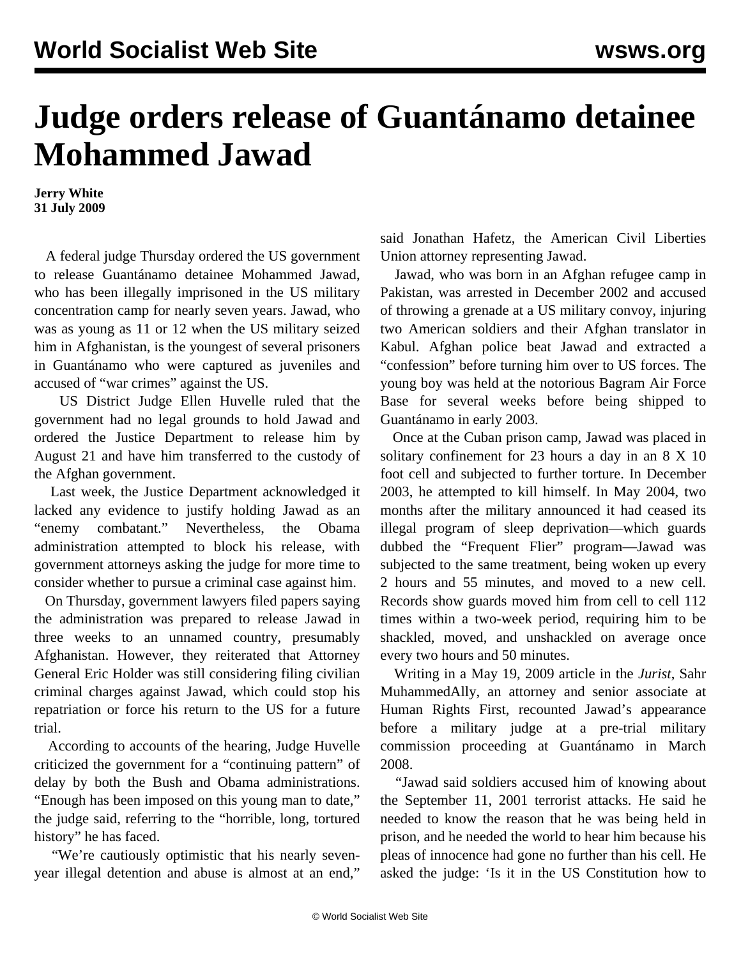## **Judge orders release of Guantánamo detainee Mohammed Jawad**

**Jerry White 31 July 2009**

 A federal judge Thursday ordered the US government to release Guantánamo detainee Mohammed Jawad, who has been illegally imprisoned in the US military concentration camp for nearly seven years. Jawad, who was as young as 11 or 12 when the US military seized him in Afghanistan, is the youngest of several prisoners in Guantánamo who were captured as juveniles and accused of "war crimes" against the US.

 US District Judge Ellen Huvelle ruled that the government had no legal grounds to hold Jawad and ordered the Justice Department to release him by August 21 and have him transferred to the custody of the Afghan government.

 Last week, the Justice Department acknowledged it lacked any evidence to justify holding Jawad as an "enemy combatant." Nevertheless, the Obama administration attempted to block his release, with government attorneys asking the judge for more time to consider whether to pursue a criminal case against him.

 On Thursday, government lawyers filed papers saying the administration was prepared to release Jawad in three weeks to an unnamed country, presumably Afghanistan. However, they reiterated that Attorney General Eric Holder was still considering filing civilian criminal charges against Jawad, which could stop his repatriation or force his return to the US for a future trial.

 According to accounts of the hearing, Judge Huvelle criticized the government for a "continuing pattern" of delay by both the Bush and Obama administrations. "Enough has been imposed on this young man to date," the judge said, referring to the "horrible, long, tortured history" he has faced.

 "We're cautiously optimistic that his nearly sevenyear illegal detention and abuse is almost at an end," said Jonathan Hafetz, the American Civil Liberties Union attorney representing Jawad.

 Jawad, who was born in an Afghan refugee camp in Pakistan, was arrested in December 2002 and accused of throwing a grenade at a US military convoy, injuring two American soldiers and their Afghan translator in Kabul. Afghan police beat Jawad and extracted a "confession" before turning him over to US forces. The young boy was held at the notorious Bagram Air Force Base for several weeks before being shipped to Guantánamo in early 2003.

 Once at the Cuban prison camp, Jawad was placed in solitary confinement for 23 hours a day in an 8 X 10 foot cell and subjected to further torture. In December 2003, he attempted to kill himself. In May 2004, two months after the military announced it had ceased its illegal program of sleep deprivation—which guards dubbed the "Frequent Flier" program—Jawad was subjected to the same treatment, being woken up every 2 hours and 55 minutes, and moved to a new cell. Records show guards moved him from cell to cell 112 times within a two-week period, requiring him to be shackled, moved, and unshackled on average once every two hours and 50 minutes.

 Writing in a May 19, 2009 article in the *Jurist*, Sahr MuhammedAlly, an attorney and senior associate at Human Rights First, recounted Jawad's appearance before a military judge at a pre-trial military commission proceeding at Guantánamo in March 2008.

 "Jawad said soldiers accused him of knowing about the September 11, 2001 terrorist attacks. He said he needed to know the reason that he was being held in prison, and he needed the world to hear him because his pleas of innocence had gone no further than his cell. He asked the judge: 'Is it in the US Constitution how to